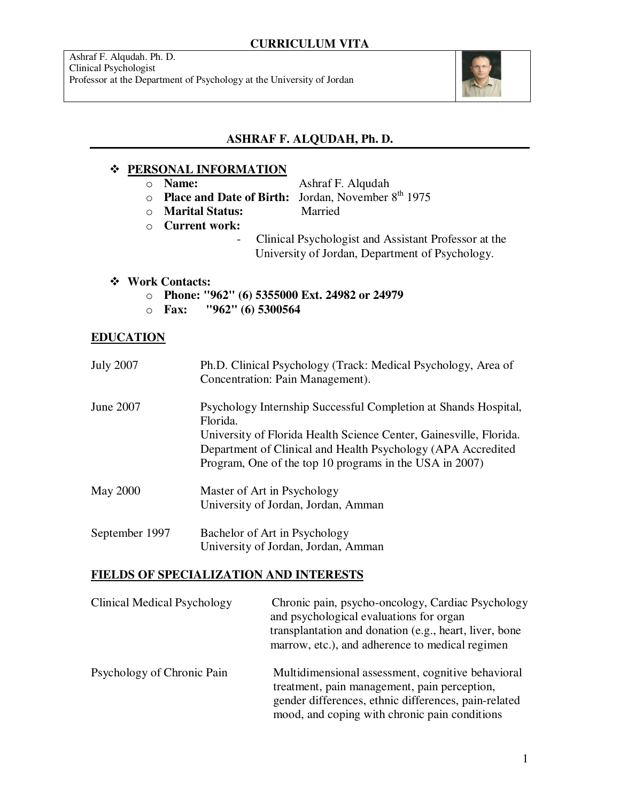

# **ASHRAF F. ALQUDAH, Ph. D.**

# **PERSONAL INFORMATION**

# o **Name:** Ashraf F. Alqudah

- o **Place and Date of Birth:** Jordan, November 8<sup>th</sup> 1975
- o **Marital Status:** Married
- o **Current work:**

- Clinical Psychologist and Assistant Professor at the University of Jordan, Department of Psychology.

### **Work Contacts:**

- o **Phone: "962" (6) 5355000 Ext. 24982 or 24979**
- o **Fax: "962" (6) 5300564**

### **EDUCATION**

| <b>July 2007</b> | Ph.D. Clinical Psychology (Track: Medical Psychology, Area of<br>Concentration: Pain Management). |
|------------------|---------------------------------------------------------------------------------------------------|
| June 2007        | Psychology Internship Successful Completion at Shands Hospital,<br>Florida.                       |
|                  | University of Florida Health Science Center, Gainesville, Florida.                                |
|                  | Department of Clinical and Health Psychology (APA Accredited                                      |
|                  | Program, One of the top 10 programs in the USA in 2007)                                           |
| <b>May 2000</b>  | Master of Art in Psychology                                                                       |
|                  | University of Jordan, Jordan, Amman                                                               |
| September 1997   | Bachelor of Art in Psychology                                                                     |
|                  | University of Jordan, Jordan, Amman                                                               |

### **FIELDS OF SPECIALIZATION AND INTERESTS**

| Clinical Medical Psychology | Chronic pain, psycho-oncology, Cardiac Psychology<br>and psychological evaluations for organ<br>transplantation and donation (e.g., heart, liver, bone<br>marrow, etc.), and adherence to medical regimen  |
|-----------------------------|------------------------------------------------------------------------------------------------------------------------------------------------------------------------------------------------------------|
| Psychology of Chronic Pain  | Multidimensional assessment, cognitive behavioral<br>treatment, pain management, pain perception,<br>gender differences, ethnic differences, pain-related<br>mood, and coping with chronic pain conditions |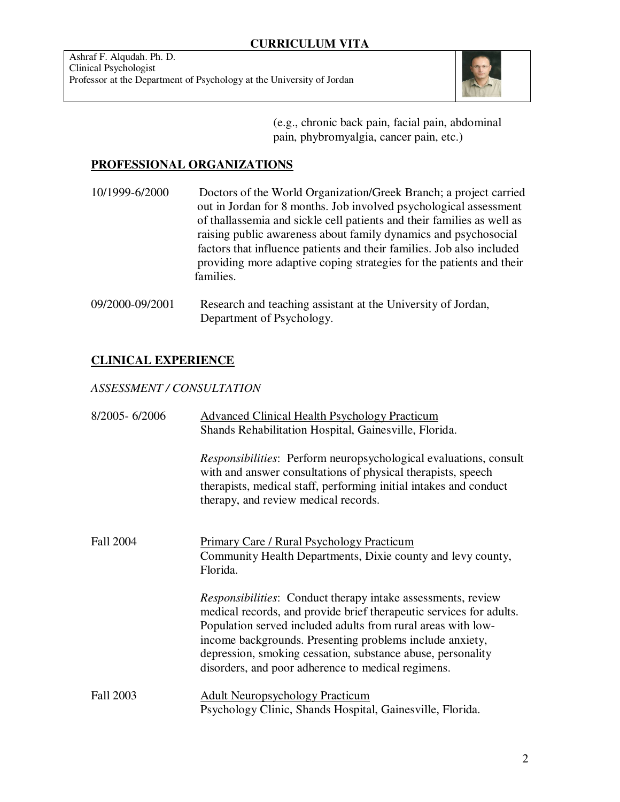

(e.g., chronic back pain, facial pain, abdominal pain, phybromyalgia, cancer pain, etc.)

# **PROFESSIONAL ORGANIZATIONS**

- 10/1999-6/2000 Doctors of the World Organization/Greek Branch; a project carried out in Jordan for 8 months. Job involved psychological assessment of thallassemia and sickle cell patients and their families as well as raising public awareness about family dynamics and psychosocial factors that influence patients and their families. Job also included providing more adaptive coping strategies for the patients and their families.
- 09/2000-09/2001 Research and teaching assistant at the University of Jordan, Department of Psychology.

# **CLINICAL EXPERIENCE**

### *ASSESSMENT / CONSULTATION*

| 8/2005-6/2006 | <b>Advanced Clinical Health Psychology Practicum</b><br>Shands Rehabilitation Hospital, Gainesville, Florida.                                                                                                                                                                                                                                                                        |
|---------------|--------------------------------------------------------------------------------------------------------------------------------------------------------------------------------------------------------------------------------------------------------------------------------------------------------------------------------------------------------------------------------------|
|               | <i>Responsibilities:</i> Perform neuropsychological evaluations, consult<br>with and answer consultations of physical therapists, speech<br>therapists, medical staff, performing initial intakes and conduct<br>therapy, and review medical records.                                                                                                                                |
| Fall 2004     | <b>Primary Care / Rural Psychology Practicum</b><br>Community Health Departments, Dixie county and levy county,<br>Florida.                                                                                                                                                                                                                                                          |
|               | Responsibilities: Conduct therapy intake assessments, review<br>medical records, and provide brief therapeutic services for adults.<br>Population served included adults from rural areas with low-<br>income backgrounds. Presenting problems include anxiety,<br>depression, smoking cessation, substance abuse, personality<br>disorders, and poor adherence to medical regimens. |
| Fall 2003     | <b>Adult Neuropsychology Practicum</b><br>Psychology Clinic, Shands Hospital, Gainesville, Florida.                                                                                                                                                                                                                                                                                  |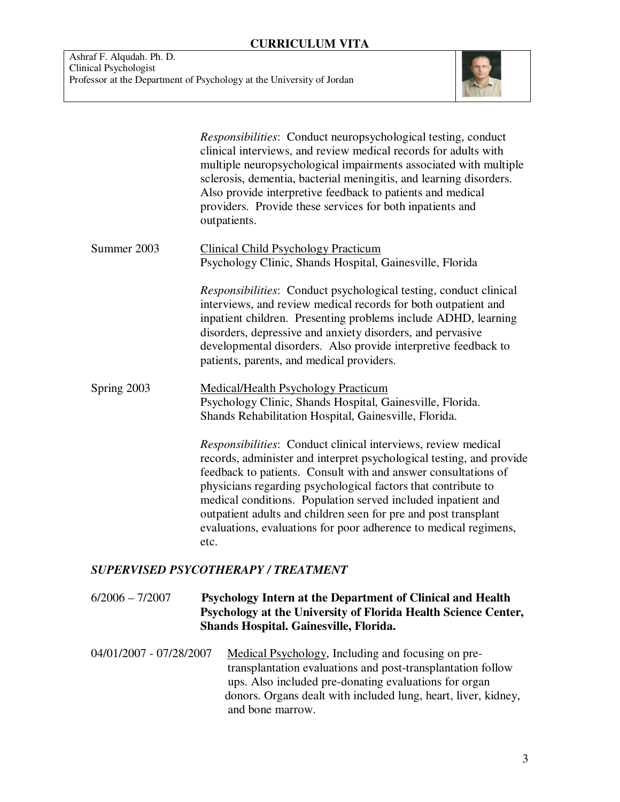#### **CURRICULUM VITA**

Ashraf F. Alqudah. Ph. D. Clinical Psychologist Professor at the Department of Psychology at the University of Jordan



|                                            | <i>Responsibilities:</i> Conduct neuropsychological testing, conduct<br>clinical interviews, and review medical records for adults with<br>multiple neuropsychological impairments associated with multiple<br>sclerosis, dementia, bacterial meningitis, and learning disorders.<br>Also provide interpretive feedback to patients and medical<br>providers. Provide these services for both inpatients and<br>outpatients.                                                            |  |
|--------------------------------------------|-----------------------------------------------------------------------------------------------------------------------------------------------------------------------------------------------------------------------------------------------------------------------------------------------------------------------------------------------------------------------------------------------------------------------------------------------------------------------------------------|--|
| Summer 2003                                | <b>Clinical Child Psychology Practicum</b><br>Psychology Clinic, Shands Hospital, Gainesville, Florida                                                                                                                                                                                                                                                                                                                                                                                  |  |
|                                            | <i>Responsibilities:</i> Conduct psychological testing, conduct clinical<br>interviews, and review medical records for both outpatient and<br>inpatient children. Presenting problems include ADHD, learning<br>disorders, depressive and anxiety disorders, and pervasive<br>developmental disorders. Also provide interpretive feedback to<br>patients, parents, and medical providers.                                                                                               |  |
| Spring 2003                                | <b>Medical/Health Psychology Practicum</b><br>Psychology Clinic, Shands Hospital, Gainesville, Florida.<br>Shands Rehabilitation Hospital, Gainesville, Florida.                                                                                                                                                                                                                                                                                                                        |  |
|                                            | Responsibilities: Conduct clinical interviews, review medical<br>records, administer and interpret psychological testing, and provide<br>feedback to patients. Consult with and answer consultations of<br>physicians regarding psychological factors that contribute to<br>medical conditions. Population served included inpatient and<br>outpatient adults and children seen for pre and post transplant<br>evaluations, evaluations for poor adherence to medical regimens,<br>etc. |  |
| <b>SUPERVISED PSYCOTHERAPY / TREATMENT</b> |                                                                                                                                                                                                                                                                                                                                                                                                                                                                                         |  |

6/2006 – 7/2007 **Psychology Intern at the Department of Clinical and Health Psychology at the University of Florida Health Science Center, Shands Hospital. Gainesville, Florida.** 

04/01/2007 - 07/28/2007 Medical Psychology, Including and focusing on pre transplantation evaluations and post-transplantation follow ups. Also included pre-donating evaluations for organ donors. Organs dealt with included lung, heart, liver, kidney, and bone marrow.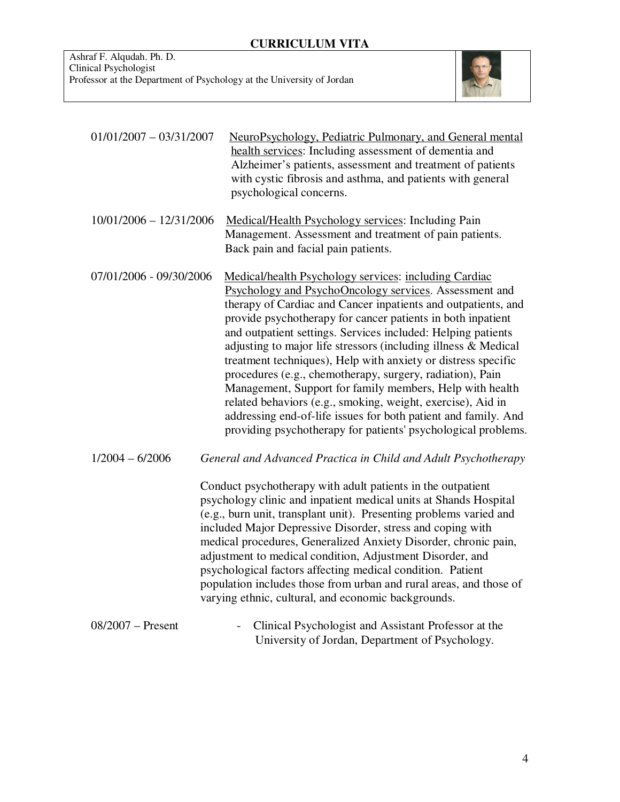#### **CURRICULUM VITA**

| Ashraf F. Alqudah. Ph. D.                                             |
|-----------------------------------------------------------------------|
| Clinical Psychologist                                                 |
| Professor at the Department of Psychology at the University of Jordan |



| $01/01/2007 - 03/31/2007$ | NeuroPsychology, Pediatric Pulmonary, and General mental<br>health services: Including assessment of dementia and<br>Alzheimer's patients, assessment and treatment of patients<br>with cystic fibrosis and asthma, and patients with general<br>psychological concerns.                                                                                                                                                                                                                                                                                                                                                                                                                                                                                                      |
|---------------------------|-------------------------------------------------------------------------------------------------------------------------------------------------------------------------------------------------------------------------------------------------------------------------------------------------------------------------------------------------------------------------------------------------------------------------------------------------------------------------------------------------------------------------------------------------------------------------------------------------------------------------------------------------------------------------------------------------------------------------------------------------------------------------------|
| $10/01/2006 - 12/31/2006$ | Medical/Health Psychology services: Including Pain                                                                                                                                                                                                                                                                                                                                                                                                                                                                                                                                                                                                                                                                                                                            |
|                           | Management. Assessment and treatment of pain patients.                                                                                                                                                                                                                                                                                                                                                                                                                                                                                                                                                                                                                                                                                                                        |
|                           | Back pain and facial pain patients.                                                                                                                                                                                                                                                                                                                                                                                                                                                                                                                                                                                                                                                                                                                                           |
| 07/01/2006 - 09/30/2006   | Medical/health Psychology services: including Cardiac<br>Psychology and PsychoOncology services. Assessment and<br>therapy of Cardiac and Cancer inpatients and outpatients, and<br>provide psychotherapy for cancer patients in both inpatient<br>and outpatient settings. Services included: Helping patients<br>adjusting to major life stressors (including illness & Medical<br>treatment techniques), Help with anxiety or distress specific<br>procedures (e.g., chemotherapy, surgery, radiation), Pain<br>Management, Support for family members, Help with health<br>related behaviors (e.g., smoking, weight, exercise), Aid in<br>addressing end-of-life issues for both patient and family. And<br>providing psychotherapy for patients' psychological problems. |
| $1/2004 - 6/2006$         | General and Advanced Practica in Child and Adult Psychotherapy                                                                                                                                                                                                                                                                                                                                                                                                                                                                                                                                                                                                                                                                                                                |
|                           | Conduct psychotherapy with adult patients in the outpatient<br>psychology clinic and inpatient medical units at Shands Hospital<br>(e.g., burn unit, transplant unit). Presenting problems varied and<br>included Major Depressive Disorder, stress and coping with<br>medical procedures, Generalized Anxiety Disorder, chronic pain,<br>adjustment to medical condition, Adjustment Disorder, and<br>psychological factors affecting medical condition. Patient<br>population includes those from urban and rural areas, and those of<br>varying ethnic, cultural, and economic backgrounds.                                                                                                                                                                                |
| $08/2007$ – Present       | Clinical Psychologist and Assistant Professor at the<br>University of Jordan, Department of Psychology.                                                                                                                                                                                                                                                                                                                                                                                                                                                                                                                                                                                                                                                                       |